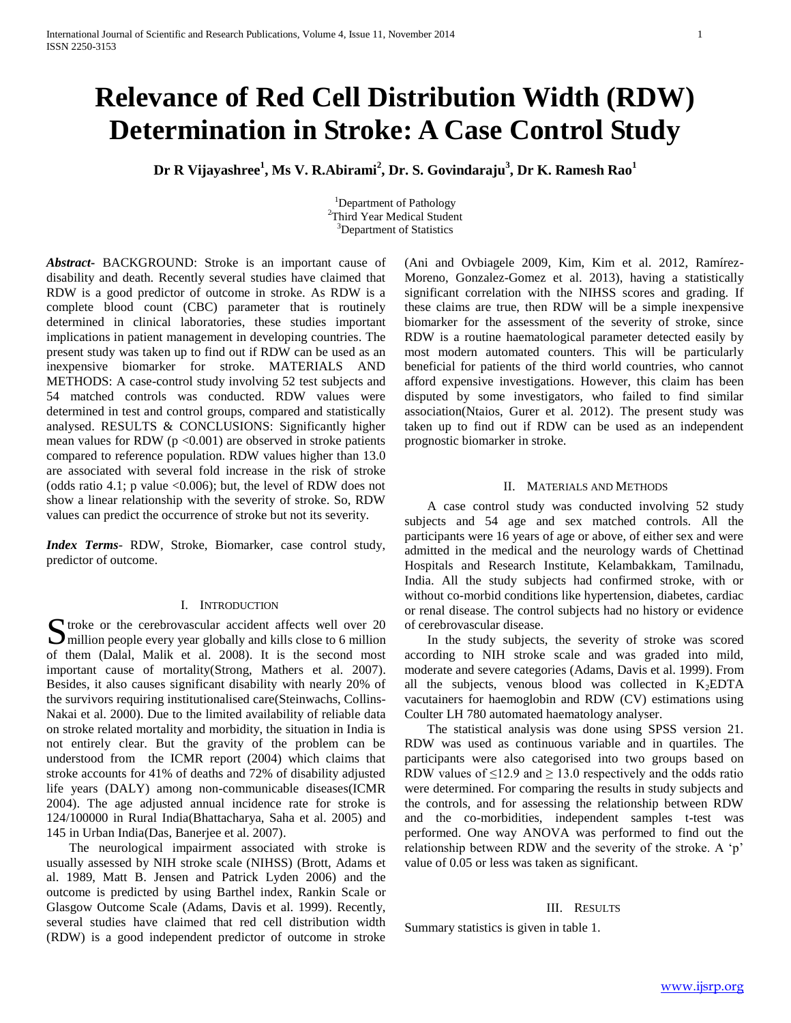# **Relevance of Red Cell Distribution Width (RDW) Determination in Stroke: A Case Control Study**

**Dr R Vijayashree<sup>1</sup> , Ms V. R.Abirami<sup>2</sup> , Dr. S. Govindaraju<sup>3</sup> , Dr K. Ramesh Rao<sup>1</sup>**

<sup>1</sup>Department of Pathology <sup>2</sup>Third Year Medical Student <sup>3</sup>Department of Statistics

*Abstract***-** BACKGROUND: Stroke is an important cause of disability and death. Recently several studies have claimed that RDW is a good predictor of outcome in stroke. As RDW is a complete blood count (CBC) parameter that is routinely determined in clinical laboratories, these studies important implications in patient management in developing countries. The present study was taken up to find out if RDW can be used as an inexpensive biomarker for stroke. MATERIALS AND METHODS: A case-control study involving 52 test subjects and 54 matched controls was conducted. RDW values were determined in test and control groups, compared and statistically analysed. RESULTS & CONCLUSIONS: Significantly higher mean values for RDW ( $p < 0.001$ ) are observed in stroke patients compared to reference population. RDW values higher than 13.0 are associated with several fold increase in the risk of stroke (odds ratio 4.1; p value  $\langle 0.006 \rangle$ ; but, the level of RDW does not show a linear relationship with the severity of stroke. So, RDW values can predict the occurrence of stroke but not its severity.

*Index Terms*- RDW, Stroke, Biomarker, case control study, predictor of outcome.

#### I. INTRODUCTION

 $\Gamma$  troke or the cerebrovascular accident affects well over 20 S troke or the cerebrovascular accident affects well over 20 million people every year globally and kills close to 6 million of them (Dalal, Malik et al. 2008). It is the second most important cause of mortality(Strong, Mathers et al. 2007). Besides, it also causes significant disability with nearly 20% of the survivors requiring institutionalised care(Steinwachs, Collins-Nakai et al. 2000). Due to the limited availability of reliable data on stroke related mortality and morbidity, the situation in India is not entirely clear. But the gravity of the problem can be understood from the ICMR report (2004) which claims that stroke accounts for 41% of deaths and 72% of disability adjusted life years (DALY) among non-communicable diseases(ICMR 2004). The age adjusted annual incidence rate for stroke is 124/100000 in Rural India(Bhattacharya, Saha et al. 2005) and 145 in Urban India(Das, Banerjee et al. 2007).

 The neurological impairment associated with stroke is usually assessed by NIH stroke scale (NIHSS) (Brott, Adams et al. 1989, Matt B. Jensen and Patrick Lyden 2006) and the outcome is predicted by using Barthel index, Rankin Scale or Glasgow Outcome Scale (Adams, Davis et al. 1999). Recently, several studies have claimed that red cell distribution width (RDW) is a good independent predictor of outcome in stroke

(Ani and Ovbiagele 2009, Kim, Kim et al. 2012, Ramírez-Moreno, Gonzalez-Gomez et al. 2013), having a statistically significant correlation with the NIHSS scores and grading. If these claims are true, then RDW will be a simple inexpensive biomarker for the assessment of the severity of stroke, since RDW is a routine haematological parameter detected easily by most modern automated counters. This will be particularly beneficial for patients of the third world countries, who cannot afford expensive investigations. However, this claim has been disputed by some investigators, who failed to find similar association(Ntaios, Gurer et al. 2012). The present study was taken up to find out if RDW can be used as an independent prognostic biomarker in stroke.

## II. MATERIALS AND METHODS

 A case control study was conducted involving 52 study subjects and 54 age and sex matched controls. All the participants were 16 years of age or above, of either sex and were admitted in the medical and the neurology wards of Chettinad Hospitals and Research Institute, Kelambakkam, Tamilnadu, India. All the study subjects had confirmed stroke, with or without co-morbid conditions like hypertension, diabetes, cardiac or renal disease. The control subjects had no history or evidence of cerebrovascular disease.

 In the study subjects, the severity of stroke was scored according to NIH stroke scale and was graded into mild, moderate and severe categories (Adams, Davis et al. 1999). From all the subjects, venous blood was collected in  $K_2EDTA$ vacutainers for haemoglobin and RDW (CV) estimations using Coulter LH 780 automated haematology analyser.

 The statistical analysis was done using SPSS version 21. RDW was used as continuous variable and in quartiles. The participants were also categorised into two groups based on RDW values of  $\leq 12.9$  and  $\geq 13.0$  respectively and the odds ratio were determined. For comparing the results in study subjects and the controls, and for assessing the relationship between RDW and the co-morbidities, independent samples t-test was performed. One way ANOVA was performed to find out the relationship between RDW and the severity of the stroke. A 'p' value of 0.05 or less was taken as significant.

## III. RESULTS

Summary statistics is given in table 1.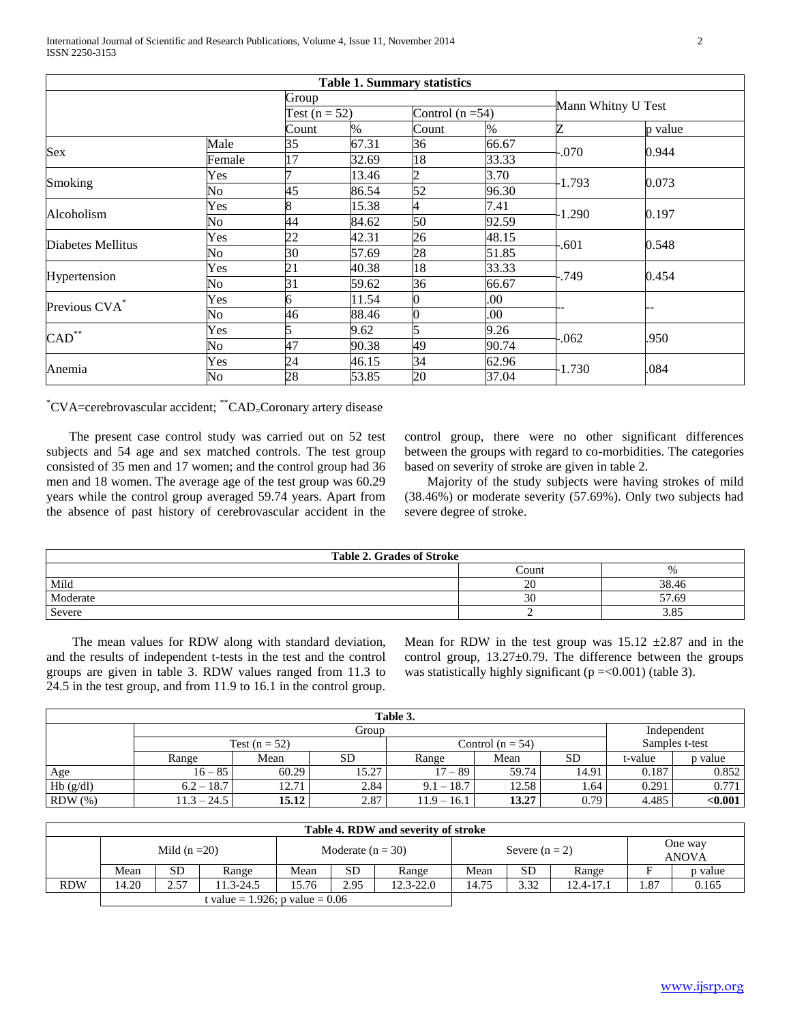|                           |            |                 |       | <b>Table 1. Summary statistics</b> |       |                    |         |
|---------------------------|------------|-----------------|-------|------------------------------------|-------|--------------------|---------|
|                           |            | Group           |       |                                    |       |                    |         |
|                           |            | Test $(n = 52)$ |       | Control $(n=54)$                   |       | Mann Whitny U Test |         |
|                           |            | Count           | $\%$  | Count                              | $\%$  | Z                  | p value |
| Sex                       | Male       | 35              | 67.31 | 36                                 | 66.67 | $-.070$            | 0.944   |
|                           | Female     | 17              | 32.69 | 18                                 | 33.33 |                    |         |
|                           | <b>Yes</b> |                 | 13.46 | 2                                  | 3.70  | $-1.793$           |         |
| Smoking                   | No         | 45              | 86.54 | 52                                 | 96.30 |                    | 0.073   |
| Alcoholism                | Yes        |                 | 15.38 | 4                                  | 7.41  | $-1.290$           |         |
|                           | No         | 44              | 84.62 | 50                                 | 92.59 |                    | 0.197   |
| Diabetes Mellitus         | Yes        | 22              | 42.31 | 26                                 | 48.15 |                    |         |
|                           | No         | 30              | 57.69 | 28                                 | 51.85 | .601               | 0.548   |
|                           | Yes        | 21              | 40.38 | 18                                 | 33.33 | -.749              |         |
| Hypertension              | No         | 31              | 59.62 | 36                                 | 66.67 |                    | 0.454   |
| Previous CVA <sup>*</sup> | Yes        | 6               | 11.54 |                                    | 00.   |                    |         |
|                           | No         | 46              | 88.46 | U                                  | 00.   |                    |         |
| $CAD$ **                  | Yes        |                 | 9.62  | 5                                  | 9.26  | $-062$             |         |
|                           | No         | 47              | 90.38 | 49                                 | 90.74 |                    | .950    |
| Anemia                    | Yes        | 24              | 46.15 | 34                                 | 62.96 |                    |         |
|                           | No         | 28              | 53.85 | 20                                 | 37.04 | $-1.730$           | .084    |

\*CVA=cerebrovascular accident; \*\*CAD=Coronary artery disease

 The present case control study was carried out on 52 test subjects and 54 age and sex matched controls. The test group consisted of 35 men and 17 women; and the control group had 36 men and 18 women. The average age of the test group was 60.29 years while the control group averaged 59.74 years. Apart from the absence of past history of cerebrovascular accident in the

control group, there were no other significant differences between the groups with regard to co-morbidities. The categories based on severity of stroke are given in table 2.

 Majority of the study subjects were having strokes of mild (38.46%) or moderate severity (57.69%). Only two subjects had severe degree of stroke.

| <b>Table 2. Grades of Stroke</b> |          |       |  |  |  |  |
|----------------------------------|----------|-------|--|--|--|--|
|                                  | Count    |       |  |  |  |  |
| Mild                             | nn<br>ZU | 38.46 |  |  |  |  |
| Moderate                         | JU       | 57.69 |  |  |  |  |
| Severe                           |          | 3.85  |  |  |  |  |

 The mean values for RDW along with standard deviation, and the results of independent t-tests in the test and the control groups are given in table 3. RDW values ranged from 11.3 to 24.5 in the test group, and from 11.9 to 16.1 in the control group.

Mean for RDW in the test group was  $15.12 \pm 2.87$  and in the control group,  $13.27 \pm 0.79$ . The difference between the groups was statistically highly significant ( $p = 0.001$ ) (table 3).

| Table 3.  |               |                 |           |               |                    |           |                |         |  |
|-----------|---------------|-----------------|-----------|---------------|--------------------|-----------|----------------|---------|--|
| Group     |               |                 |           |               |                    |           | Independent    |         |  |
|           |               | Test $(n = 52)$ |           |               | Control $(n = 54)$ |           | Samples t-test |         |  |
|           | Range         | Mean            | <b>SD</b> | Range         | Mean               | <b>SD</b> | t-value        | p value |  |
| Age       | $16 - 85$     | 60.29           | 15.27     | 17 – 89       | 59.74              | 14.91     | 0.187          | 0.852   |  |
| Hb(g/dl)  | $6.2 - 18.7$  | 12.71           | 2.84      | $9.1 - 18.7$  | 12.58              | 1.64      | 0.291          | 0.771   |  |
| $RDW$ $%$ | $11.3 - 24.5$ | 15.12           | 2.87      | $11.9 - 16.1$ | 13.27              | 0.79      | 4.485          | < 0.001 |  |

| Table 4. RDW and severity of stroke |               |      |                     |       |                  |               |       |                         |               |      |         |
|-------------------------------------|---------------|------|---------------------|-------|------------------|---------------|-------|-------------------------|---------------|------|---------|
|                                     | Mild $(n=20)$ |      | Moderate $(n = 30)$ |       | Severe $(n = 2)$ |               |       | One way<br><b>ANOVA</b> |               |      |         |
|                                     | Mean          | SD   | Range               | Mean  | <b>SD</b>        | Range         | Mean  | <b>SD</b>               | Range         |      | p value |
| <b>RDW</b>                          | 14.20         | 2.57 | $1.3 - 24.5$        | 15.76 | 2.95             | $12.3 - 22.0$ | 14.75 | 3.32                    | $12.4 - 17.1$ | 1.87 | 0.165   |
| t value = 1.926; p value = $0.06$   |               |      |                     |       |                  |               |       |                         |               |      |         |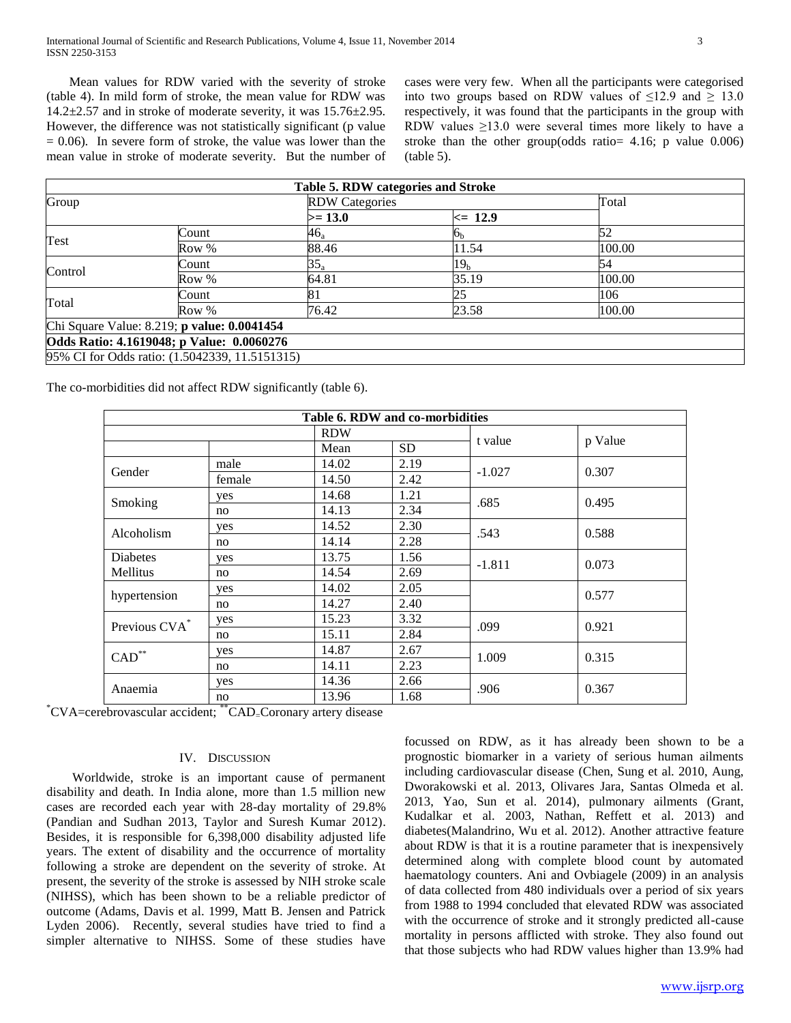Mean values for RDW varied with the severity of stroke (table 4). In mild form of stroke, the mean value for RDW was  $14.2\pm2.57$  and in stroke of moderate severity, it was  $15.76\pm2.95$ . However, the difference was not statistically significant (p value  $= 0.06$ ). In severe form of stroke, the value was lower than the mean value in stroke of moderate severity. But the number of cases were very few. When all the participants were categorised into two groups based on RDW values of  $\leq 12.9$  and  $\geq 13.0$ respectively, it was found that the participants in the group with RDW values  $\geq$ 13.0 were several times more likely to have a stroke than the other group(odds ratio= 4.16; p value 0.006) (table 5).

|         |                                                | Table 5. RDW categories and Stroke |                 |        |  |
|---------|------------------------------------------------|------------------------------------|-----------------|--------|--|
| Group   |                                                | <b>RDW Categories</b>              |                 | Total  |  |
|         |                                                | $>= 13.0$                          | $\leq$ 12.9     |        |  |
|         | Count                                          | 46,                                | o <sub>b</sub>  | 52     |  |
| Test    | Row %                                          | 88.46                              | 11.54           | 100.00 |  |
| Control | Count                                          | $35_a$                             | 19 <sub>h</sub> | 54     |  |
|         | Row %                                          | 64.81                              | 35.19           | 100.00 |  |
|         | Count                                          | 8                                  | 25              | 106    |  |
| Total   | Row %                                          | 76.42                              | 23.58           | 100.00 |  |
|         | Chi Square Value: 8.219; p value: 0.0041454    |                                    |                 |        |  |
|         | Odds Ratio: 4.1619048; p Value: 0.0060276      |                                    |                 |        |  |
|         | 95% CI for Odds ratio: (1.5042339, 11.5151315) |                                    |                 |        |  |

The co-morbidities did not affect RDW significantly (table 6).

| Table 6. RDW and co-morbidities |        |            |      |          |         |  |  |
|---------------------------------|--------|------------|------|----------|---------|--|--|
|                                 |        | <b>RDW</b> |      |          | p Value |  |  |
|                                 |        | Mean       | SD.  |          |         |  |  |
| Gender                          | male   | 14.02      | 2.19 | $-1.027$ | 0.307   |  |  |
|                                 | female | 14.50      | 2.42 |          |         |  |  |
|                                 | yes    | 14.68      | 1.21 |          | 0.495   |  |  |
| Smoking                         | no     | 14.13      | 2.34 | .685     |         |  |  |
| Alcoholism                      | yes    | 14.52      | 2.30 | .543     | 0.588   |  |  |
|                                 | no     | 14.14      | 2.28 |          |         |  |  |
| <b>Diabetes</b>                 | yes    | 13.75      | 1.56 | $-1.811$ | 0.073   |  |  |
| Mellitus                        | no     | 14.54      | 2.69 |          |         |  |  |
|                                 | yes    | 14.02      | 2.05 |          | 0.577   |  |  |
| hypertension                    | no     | 14.27      | 2.40 |          |         |  |  |
| Previous CVA*                   | yes    | 15.23      | 3.32 | .099     | 0.921   |  |  |
|                                 | no     | 15.11      | 2.84 |          |         |  |  |
| $\mathrm{CAD}^{**}$             | yes    | 14.87      | 2.67 | 1.009    | 0.315   |  |  |
|                                 | no     | 14.11      | 2.23 |          |         |  |  |
| Anaemia                         | yes    | 14.36      | 2.66 | .906     |         |  |  |
|                                 | no     | 13.96      | 1.68 |          | 0.367   |  |  |

\*CVA=cerebrovascular accident; \*\*CAD=Coronary artery disease

## IV. DISCUSSION

 Worldwide, stroke is an important cause of permanent disability and death. In India alone, more than 1.5 million new cases are recorded each year with 28-day mortality of 29.8% (Pandian and Sudhan 2013, Taylor and Suresh Kumar 2012). Besides, it is responsible for 6,398,000 disability adjusted life years. The extent of disability and the occurrence of mortality following a stroke are dependent on the severity of stroke. At present, the severity of the stroke is assessed by NIH stroke scale (NIHSS), which has been shown to be a reliable predictor of outcome (Adams, Davis et al. 1999, Matt B. Jensen and Patrick Lyden 2006). Recently, several studies have tried to find a simpler alternative to NIHSS. Some of these studies have focussed on RDW, as it has already been shown to be a prognostic biomarker in a variety of serious human ailments including cardiovascular disease (Chen, Sung et al. 2010, Aung, Dworakowski et al. 2013, Olivares Jara, Santas Olmeda et al. 2013, Yao, Sun et al. 2014), pulmonary ailments (Grant, Kudalkar et al. 2003, Nathan, Reffett et al. 2013) and diabetes(Malandrino, Wu et al. 2012). Another attractive feature about RDW is that it is a routine parameter that is inexpensively determined along with complete blood count by automated haematology counters. Ani and Ovbiagele (2009) in an analysis of data collected from 480 individuals over a period of six years from 1988 to 1994 concluded that elevated RDW was associated with the occurrence of stroke and it strongly predicted all-cause mortality in persons afflicted with stroke. They also found out that those subjects who had RDW values higher than 13.9% had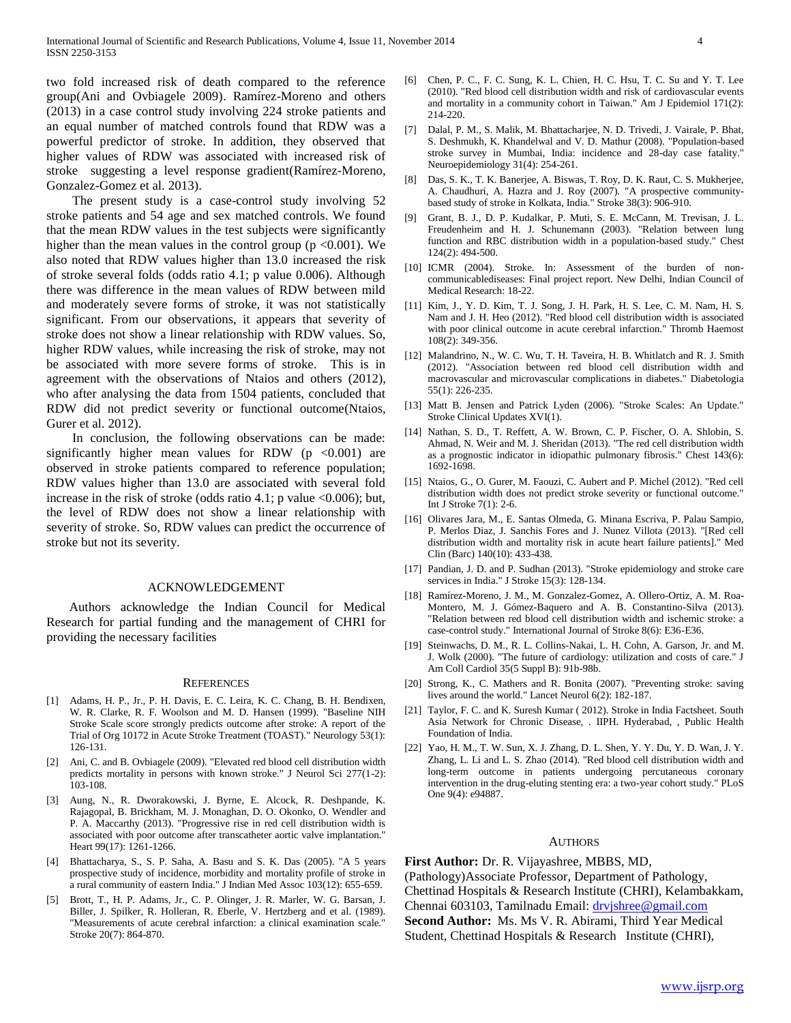two fold increased risk of death compared to the reference group(Ani and Ovbiagele 2009). Ramírez-Moreno and others (2013) in a case control study involving 224 stroke patients and an equal number of matched controls found that RDW was a powerful predictor of stroke. In addition, they observed that higher values of RDW was associated with increased risk of stroke suggesting a level response gradient(Ramírez-Moreno, Gonzalez-Gomez et al. 2013).

 The present study is a case-control study involving 52 stroke patients and 54 age and sex matched controls. We found that the mean RDW values in the test subjects were significantly higher than the mean values in the control group ( $p < 0.001$ ). We also noted that RDW values higher than 13.0 increased the risk of stroke several folds (odds ratio 4.1; p value 0.006). Although there was difference in the mean values of RDW between mild and moderately severe forms of stroke, it was not statistically significant. From our observations, it appears that severity of stroke does not show a linear relationship with RDW values. So, higher RDW values, while increasing the risk of stroke, may not be associated with more severe forms of stroke. This is in agreement with the observations of Ntaios and others (2012), who after analysing the data from 1504 patients, concluded that RDW did not predict severity or functional outcome(Ntaios, Gurer et al. 2012).

 In conclusion, the following observations can be made: significantly higher mean values for RDW ( $p \le 0.001$ ) are observed in stroke patients compared to reference population; RDW values higher than 13.0 are associated with several fold increase in the risk of stroke (odds ratio 4.1; p value  $<0.006$ ); but, the level of RDW does not show a linear relationship with severity of stroke. So, RDW values can predict the occurrence of stroke but not its severity.

#### ACKNOWLEDGEMENT

 Authors acknowledge the Indian Council for Medical Research for partial funding and the management of CHRI for providing the necessary facilities

#### **REFERENCES**

- [1] Adams, H. P., Jr., P. H. Davis, E. C. Leira, K. C. Chang, B. H. Bendixen, W. R. Clarke, R. F. Woolson and M. D. Hansen (1999). "Baseline NIH Stroke Scale score strongly predicts outcome after stroke: A report of the Trial of Org 10172 in Acute Stroke Treatment (TOAST)." Neurology 53(1): 126-131.
- [2] Ani, C. and B. Ovbiagele (2009). "Elevated red blood cell distribution width predicts mortality in persons with known stroke." J Neurol Sci 277(1-2): 103-108.
- [3] Aung, N., R. Dworakowski, J. Byrne, E. Alcock, R. Deshpande, K. Rajagopal, B. Brickham, M. J. Monaghan, D. O. Okonko, O. Wendler and P. A. Maccarthy (2013). "Progressive rise in red cell distribution width is associated with poor outcome after transcatheter aortic valve implantation." Heart 99(17): 1261-1266.
- [4] Bhattacharya, S., S. P. Saha, A. Basu and S. K. Das (2005). "A 5 years prospective study of incidence, morbidity and mortality profile of stroke in a rural community of eastern India." J Indian Med Assoc 103(12): 655-659.
- [5] Brott, T., H. P. Adams, Jr., C. P. Olinger, J. R. Marler, W. G. Barsan, J. Biller, J. Spilker, R. Holleran, R. Eberle, V. Hertzberg and et al. (1989). "Measurements of acute cerebral infarction: a clinical examination scale." Stroke 20(7): 864-870.
- [6] Chen, P. C., F. C. Sung, K. L. Chien, H. C. Hsu, T. C. Su and Y. T. Lee (2010). "Red blood cell distribution width and risk of cardiovascular events and mortality in a community cohort in Taiwan." Am J Epidemiol 171(2): 214-220.
- [7] Dalal, P. M., S. Malik, M. Bhattacharjee, N. D. Trivedi, J. Vairale, P. Bhat, S. Deshmukh, K. Khandelwal and V. D. Mathur (2008). "Population-based stroke survey in Mumbai, India: incidence and 28-day case fatality." Neuroepidemiology 31(4): 254-261.
- [8] Das, S. K., T. K. Banerjee, A. Biswas, T. Roy, D. K. Raut, C. S. Mukherjee, A. Chaudhuri, A. Hazra and J. Roy (2007). "A prospective communitybased study of stroke in Kolkata, India." Stroke 38(3): 906-910.
- [9] Grant, B. J., D. P. Kudalkar, P. Muti, S. E. McCann, M. Trevisan, J. L. Freudenheim and H. J. Schunemann (2003). "Relation between lung function and RBC distribution width in a population-based study." Chest 124(2): 494-500.
- [10] ICMR (2004). Stroke. In: Assessment of the burden of noncommunicablediseases: Final project report. New Delhi, Indian Council of Medical Research: 18-22.
- [11] Kim, J., Y. D. Kim, T. J. Song, J. H. Park, H. S. Lee, C. M. Nam, H. S. Nam and J. H. Heo (2012). "Red blood cell distribution width is associated with poor clinical outcome in acute cerebral infarction." Thromb Haemost 108(2): 349-356.
- [12] Malandrino, N., W. C. Wu, T. H. Taveira, H. B. Whitlatch and R. J. Smith (2012). "Association between red blood cell distribution width and macrovascular and microvascular complications in diabetes." Diabetologia 55(1): 226-235.
- [13] Matt B. Jensen and Patrick Lyden (2006). "Stroke Scales: An Update." Stroke Clinical Updates XVI(1).
- [14] Nathan, S. D., T. Reffett, A. W. Brown, C. P. Fischer, O. A. Shlobin, S. Ahmad, N. Weir and M. J. Sheridan (2013). "The red cell distribution width as a prognostic indicator in idiopathic pulmonary fibrosis." Chest 143(6): 1692-1698.
- [15] Ntaios, G., O. Gurer, M. Faouzi, C. Aubert and P. Michel (2012). "Red cell distribution width does not predict stroke severity or functional outcome." Int J Stroke 7(1): 2-6.
- [16] Olivares Jara, M., E. Santas Olmeda, G. Minana Escriva, P. Palau Sampio, P. Merlos Diaz, J. Sanchis Fores and J. Nunez Villota (2013). "[Red cell distribution width and mortality risk in acute heart failure patients]." Med Clin (Barc) 140(10): 433-438.
- [17] Pandian, J. D. and P. Sudhan (2013). "Stroke epidemiology and stroke care services in India." J Stroke 15(3): 128-134.
- [18] Ramírez-Moreno, J. M., M. Gonzalez-Gomez, A. Ollero-Ortiz, A. M. Roa-Montero, M. J. Gómez-Baquero and A. B. Constantino-Silva (2013). "Relation between red blood cell distribution width and ischemic stroke: a case-control study." International Journal of Stroke 8(6): E36-E36.
- [19] Steinwachs, D. M., R. L. Collins-Nakai, L. H. Cohn, A. Garson, Jr. and M. J. Wolk (2000). "The future of cardiology: utilization and costs of care." J Am Coll Cardiol 35(5 Suppl B): 91b-98b.
- [20] Strong, K., C. Mathers and R. Bonita (2007). "Preventing stroke: saving lives around the world." Lancet Neurol 6(2): 182-187.
- [21] Taylor, F. C. and K. Suresh Kumar (2012). Stroke in India Factsheet. South Asia Network for Chronic Disease, . IIPH. Hyderabad, , Public Health Foundation of India.
- [22] Yao, H. M., T. W. Sun, X. J. Zhang, D. L. Shen, Y. Y. Du, Y. D. Wan, J. Y. Zhang, L. Li and L. S. Zhao (2014). "Red blood cell distribution width and long-term outcome in patients undergoing percutaneous coronary intervention in the drug-eluting stenting era: a two-year cohort study." PLoS One 9(4): e94887.

#### AUTHORS

**First Author:** Dr. R. Vijayashree, MBBS, MD, (Pathology)Associate Professor, Department of Pathology, Chettinad Hospitals & Research Institute (CHRI), Kelambakkam, Chennai 603103, Tamilnadu Email: [drvjshree@gmail.com](mailto:drvjshree@gmail.com) **Second Author:** Ms. Ms V. R. Abirami, Third Year Medical Student, Chettinad Hospitals & Research Institute (CHRI),